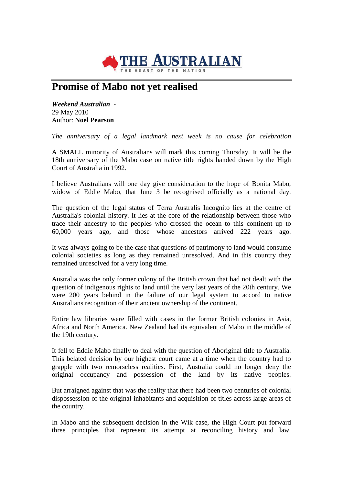

## **Promise of Mabo not yet realised**

*Weekend Australian* - 29 May 2010 Author: **Noel Pearson**

*The anniversary of a legal landmark next week is no cause for celebration*

A SMALL minority of Australians will mark this coming Thursday. It will be the 18th anniversary of the Mabo case on native title rights handed down by the High Court of Australia in 1992.

I believe Australians will one day give consideration to the hope of Bonita Mabo, widow of Eddie Mabo, that June 3 be recognised officially as a national day.

The question of the legal status of Terra Australis Incognito lies at the centre of Australia's colonial history. It lies at the core of the relationship between those who trace their ancestry to the peoples who crossed the ocean to this continent up to 60,000 years ago, and those whose ancestors arrived 222 years ago.

It was always going to be the case that questions of patrimony to land would consume colonial societies as long as they remained unresolved. And in this country they remained unresolved for a very long time.

Australia was the only former colony of the British crown that had not dealt with the question of indigenous rights to land until the very last years of the 20th century. We were 200 years behind in the failure of our legal system to accord to native Australians recognition of their ancient ownership of the continent.

Entire law libraries were filled with cases in the former British colonies in Asia, Africa and North America. New Zealand had its equivalent of Mabo in the middle of the 19th century.

It fell to Eddie Mabo finally to deal with the question of Aboriginal title to Australia. This belated decision by our highest court came at a time when the country had to grapple with two remorseless realities. First, Australia could no longer deny the original occupancy and possession of the land by its native peoples.

But arraigned against that was the reality that there had been two centuries of colonial dispossession of the original inhabitants and acquisition of titles across large areas of the country.

In Mabo and the subsequent decision in the Wik case, the High Court put forward three principles that represent its attempt at reconciling history and law.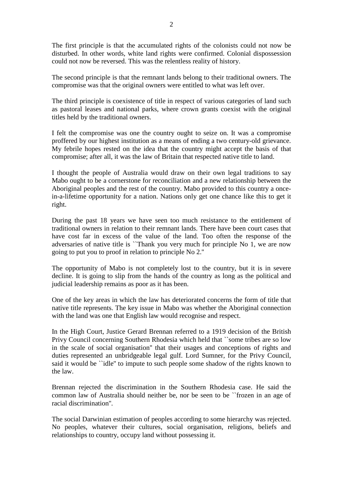The first principle is that the accumulated rights of the colonists could not now be disturbed. In other words, white land rights were confirmed. Colonial dispossession could not now be reversed. This was the relentless reality of history.

The second principle is that the remnant lands belong to their traditional owners. The compromise was that the original owners were entitled to what was left over.

The third principle is coexistence of title in respect of various categories of land such as pastoral leases and national parks, where crown grants coexist with the original titles held by the traditional owners.

I felt the compromise was one the country ought to seize on. It was a compromise proffered by our highest institution as a means of ending a two century-old grievance. My febrile hopes rested on the idea that the country might accept the basis of that compromise; after all, it was the law of Britain that respected native title to land.

I thought the people of Australia would draw on their own legal traditions to say Mabo ought to be a cornerstone for reconciliation and a new relationship between the Aboriginal peoples and the rest of the country. Mabo provided to this country a oncein-a-lifetime opportunity for a nation. Nations only get one chance like this to get it right.

During the past 18 years we have seen too much resistance to the entitlement of traditional owners in relation to their remnant lands. There have been court cases that have cost far in excess of the value of the land. Too often the response of the adversaries of native title is ``Thank you very much for principle No 1, we are now going to put you to proof in relation to principle No 2.''

The opportunity of Mabo is not completely lost to the country, but it is in severe decline. It is going to slip from the hands of the country as long as the political and judicial leadership remains as poor as it has been.

One of the key areas in which the law has deteriorated concerns the form of title that native title represents. The key issue in Mabo was whether the Aboriginal connection with the land was one that English law would recognise and respect.

In the High Court, Justice Gerard Brennan referred to a 1919 decision of the British Privy Council concerning Southern Rhodesia which held that ``some tribes are so low in the scale of social organisation'' that their usages and conceptions of rights and duties represented an unbridgeable legal gulf. Lord Sumner, for the Privy Council, said it would be ``idle'' to impute to such people some shadow of the rights known to the law.

Brennan rejected the discrimination in the Southern Rhodesia case. He said the common law of Australia should neither be, nor be seen to be ``frozen in an age of racial discrimination''.

The social Darwinian estimation of peoples according to some hierarchy was rejected. No peoples, whatever their cultures, social organisation, religions, beliefs and relationships to country, occupy land without possessing it.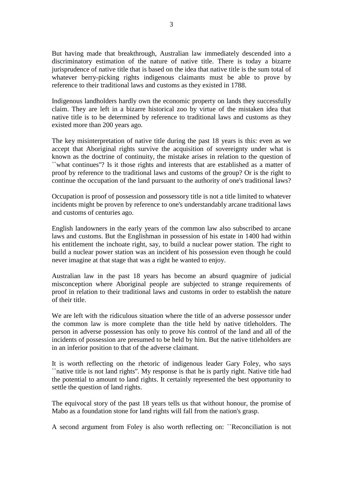But having made that breakthrough, Australian law immediately descended into a discriminatory estimation of the nature of native title. There is today a bizarre jurisprudence of native title that is based on the idea that native title is the sum total of whatever berry-picking rights indigenous claimants must be able to prove by reference to their traditional laws and customs as they existed in 1788.

Indigenous landholders hardly own the economic property on lands they successfully claim. They are left in a bizarre historical zoo by virtue of the mistaken idea that native title is to be determined by reference to traditional laws and customs as they existed more than 200 years ago.

The key misinterpretation of native title during the past 18 years is this: even as we accept that Aboriginal rights survive the acquisition of sovereignty under what is known as the doctrine of continuity, the mistake arises in relation to the question of ``what continues''? Is it those rights and interests that are established as a matter of proof by reference to the traditional laws and customs of the group? Or is the right to continue the occupation of the land pursuant to the authority of one's traditional laws?

Occupation is proof of possession and possessory title is not a title limited to whatever incidents might be proven by reference to one's understandably arcane traditional laws and customs of centuries ago.

English landowners in the early years of the common law also subscribed to arcane laws and customs. But the Englishman in possession of his estate in 1400 had within his entitlement the inchoate right, say, to build a nuclear power station. The right to build a nuclear power station was an incident of his possession even though he could never imagine at that stage that was a right he wanted to enjoy.

Australian law in the past 18 years has become an absurd quagmire of judicial misconception where Aboriginal people are subjected to strange requirements of proof in relation to their traditional laws and customs in order to establish the nature of their title.

We are left with the ridiculous situation where the title of an adverse possessor under the common law is more complete than the title held by native titleholders. The person in adverse possession has only to prove his control of the land and all of the incidents of possession are presumed to be held by him. But the native titleholders are in an inferior position to that of the adverse claimant.

It is worth reflecting on the rhetoric of indigenous leader Gary Foley, who says ``native title is not land rights''. My response is that he is partly right. Native title had the potential to amount to land rights. It certainly represented the best opportunity to settle the question of land rights.

The equivocal story of the past 18 years tells us that without honour, the promise of Mabo as a foundation stone for land rights will fall from the nation's grasp.

A second argument from Foley is also worth reflecting on: ``Reconciliation is not